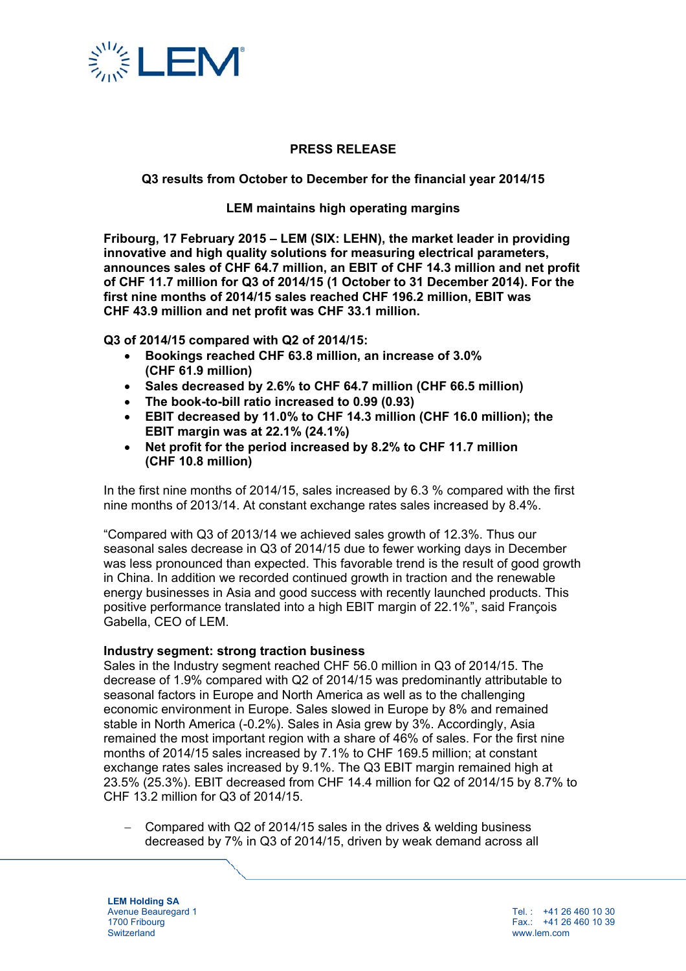

## **PRESS RELEASE**

## **Q3 results from October to December for the financial year 2014/15**

## **LEM maintains high operating margins**

**Fribourg, 17 February 2015 – LEM (SIX: LEHN), the market leader in providing innovative and high quality solutions for measuring electrical parameters, announces sales of CHF 64.7 million, an EBIT of CHF 14.3 million and net profit of CHF 11.7 million for Q3 of 2014/15 (1 October to 31 December 2014). For the first nine months of 2014/15 sales reached CHF 196.2 million, EBIT was CHF 43.9 million and net profit was CHF 33.1 million.** 

**Q3 of 2014/15 compared with Q2 of 2014/15:** 

- **Bookings reached CHF 63.8 million, an increase of 3.0% (CHF 61.9 million)**
- **Sales decreased by 2.6% to CHF 64.7 million (CHF 66.5 million)**
- **The book-to-bill ratio increased to 0.99 (0.93)**
- **EBIT decreased by 11.0% to CHF 14.3 million (CHF 16.0 million); the EBIT margin was at 22.1% (24.1%)**
- **Net profit for the period increased by 8.2% to CHF 11.7 million (CHF 10.8 million)**

In the first nine months of 2014/15, sales increased by 6.3 % compared with the first nine months of 2013/14. At constant exchange rates sales increased by 8.4%.

"Compared with Q3 of 2013/14 we achieved sales growth of 12.3%. Thus our seasonal sales decrease in Q3 of 2014/15 due to fewer working days in December was less pronounced than expected. This favorable trend is the result of good growth in China. In addition we recorded continued growth in traction and the renewable energy businesses in Asia and good success with recently launched products. This positive performance translated into a high EBIT margin of 22.1%", said François Gabella, CEO of LEM.

#### **Industry segment: strong traction business**

Sales in the Industry segment reached CHF 56.0 million in Q3 of 2014/15. The decrease of 1.9% compared with Q2 of 2014/15 was predominantly attributable to seasonal factors in Europe and North America as well as to the challenging economic environment in Europe. Sales slowed in Europe by 8% and remained stable in North America (-0.2%). Sales in Asia grew by 3%. Accordingly, Asia remained the most important region with a share of 46% of sales. For the first nine months of 2014/15 sales increased by 7.1% to CHF 169.5 million; at constant exchange rates sales increased by 9.1%. The Q3 EBIT margin remained high at 23.5% (25.3%). EBIT decreased from CHF 14.4 million for Q2 of 2014/15 by 8.7% to CHF 13.2 million for Q3 of 2014/15.

 Compared with Q2 of 2014/15 sales in the drives & welding business decreased by 7% in Q3 of 2014/15, driven by weak demand across all

**LEM Holding SA**  Avenue Beauregard 1 1700 Fribourg **Switzerland** 

Tel. : +41 26 460 10 30 Fax.: +41 26 460 10 39 www.lem.com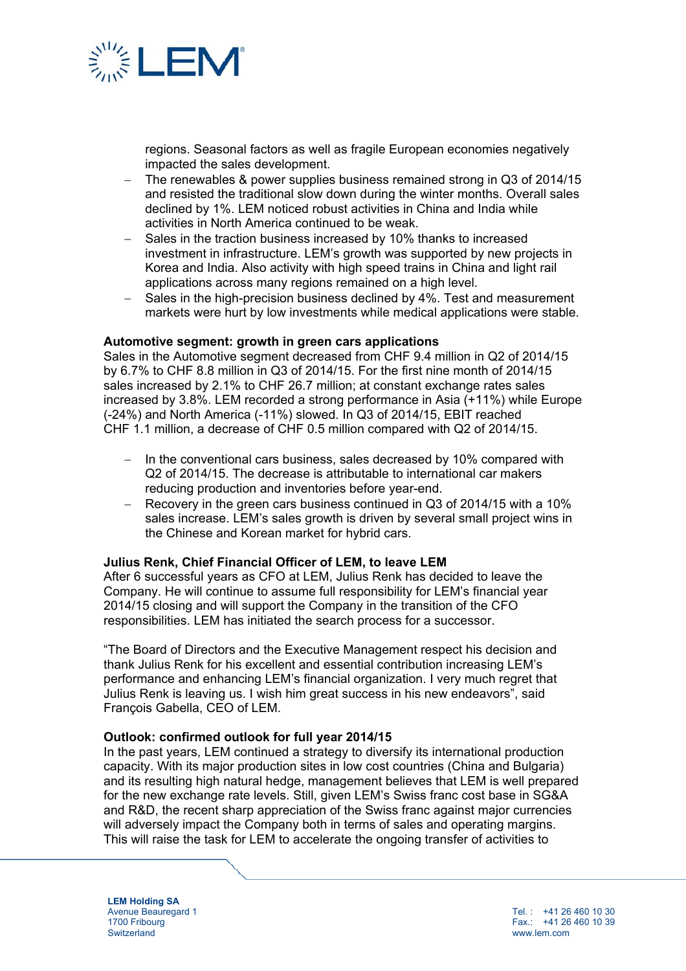

regions. Seasonal factors as well as fragile European economies negatively impacted the sales development.

- The renewables & power supplies business remained strong in Q3 of 2014/15 and resisted the traditional slow down during the winter months. Overall sales declined by 1%. LEM noticed robust activities in China and India while activities in North America continued to be weak.
- Sales in the traction business increased by 10% thanks to increased investment in infrastructure. LEM's growth was supported by new projects in Korea and India. Also activity with high speed trains in China and light rail applications across many regions remained on a high level.
- Sales in the high-precision business declined by 4%. Test and measurement markets were hurt by low investments while medical applications were stable.

#### **Automotive segment: growth in green cars applications**

Sales in the Automotive segment decreased from CHF 9.4 million in Q2 of 2014/15 by 6.7% to CHF 8.8 million in Q3 of 2014/15. For the first nine month of 2014/15 sales increased by 2.1% to CHF 26.7 million; at constant exchange rates sales increased by 3.8%. LEM recorded a strong performance in Asia (+11%) while Europe (-24%) and North America (-11%) slowed. In Q3 of 2014/15, EBIT reached CHF 1.1 million, a decrease of CHF 0.5 million compared with Q2 of 2014/15.

- In the conventional cars business, sales decreased by 10% compared with Q2 of 2014/15. The decrease is attributable to international car makers reducing production and inventories before year-end.
- Recovery in the green cars business continued in Q3 of 2014/15 with a 10% sales increase. LEM's sales growth is driven by several small project wins in the Chinese and Korean market for hybrid cars.

#### **Julius Renk, Chief Financial Officer of LEM, to leave LEM**

After 6 successful years as CFO at LEM, Julius Renk has decided to leave the Company. He will continue to assume full responsibility for LEM's financial year 2014/15 closing and will support the Company in the transition of the CFO responsibilities. LEM has initiated the search process for a successor.

"The Board of Directors and the Executive Management respect his decision and thank Julius Renk for his excellent and essential contribution increasing LEM's performance and enhancing LEM's financial organization. I very much regret that Julius Renk is leaving us. I wish him great success in his new endeavors", said François Gabella, CEO of LEM.

#### **Outlook: confirmed outlook for full year 2014/15**

In the past years, LEM continued a strategy to diversify its international production capacity. With its major production sites in low cost countries (China and Bulgaria) and its resulting high natural hedge, management believes that LEM is well prepared for the new exchange rate levels. Still, given LEM's Swiss franc cost base in SG&A and R&D, the recent sharp appreciation of the Swiss franc against major currencies will adversely impact the Company both in terms of sales and operating margins. This will raise the task for LEM to accelerate the ongoing transfer of activities to

**LEM Holding SA**  Avenue Beauregard 1 1700 Fribourg **Switzerland** 

Tel $\cdot$  +41 26 460 10 30 Fax.: +41 26 460 10 39 www.lem.com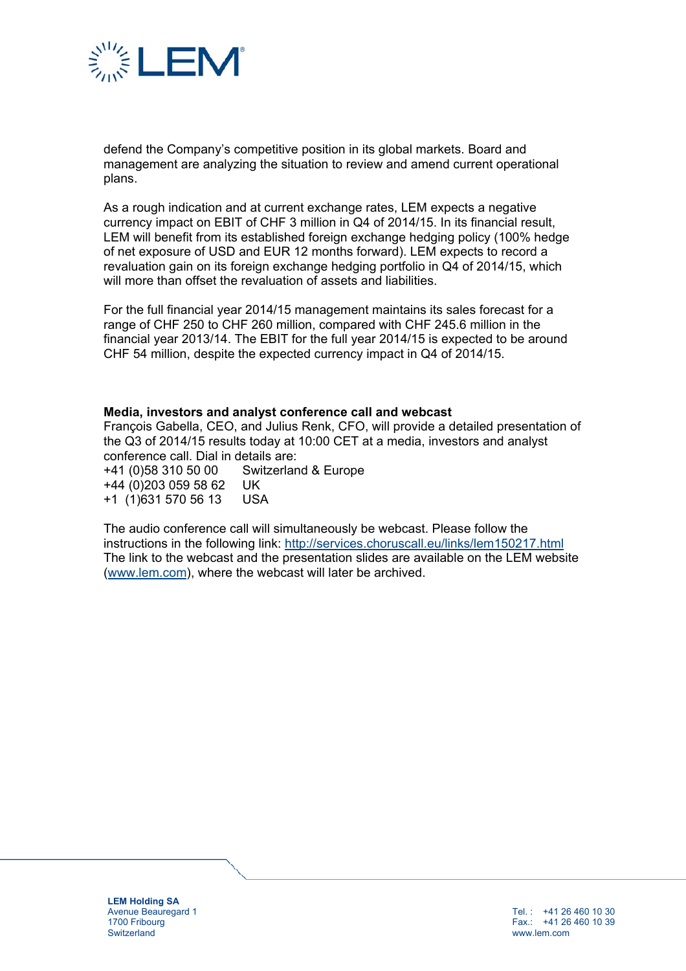

defend the Company's competitive position in its global markets. Board and management are analyzing the situation to review and amend current operational plans.

As a rough indication and at current exchange rates, LEM expects a negative currency impact on EBIT of CHF 3 million in Q4 of 2014/15. In its financial result, LEM will benefit from its established foreign exchange hedging policy (100% hedge of net exposure of USD and EUR 12 months forward). LEM expects to record a revaluation gain on its foreign exchange hedging portfolio in Q4 of 2014/15, which will more than offset the revaluation of assets and liabilities.

For the full financial year 2014/15 management maintains its sales forecast for a range of CHF 250 to CHF 260 million, compared with CHF 245.6 million in the financial year 2013/14. The EBIT for the full year 2014/15 is expected to be around CHF 54 million, despite the expected currency impact in Q4 of 2014/15.

#### **Media, investors and analyst conference call and webcast**

François Gabella, CEO, and Julius Renk, CFO, will provide a detailed presentation of the Q3 of 2014/15 results today at 10:00 CET at a media, investors and analyst conference call. Dial in details are:

+41 (0)58 310 50 00 Switzerland & Europe +44 (0)203 059 58 62 UK +1 (1)631 570 56 13 USA

The audio conference call will simultaneously be webcast. Please follow the instructions in the following link: http://services.choruscall.eu/links/lem150217.html The link to the webcast and the presentation slides are available on the LEM website (www.lem.com), where the webcast will later be archived.

**LEM Holding SA**  Avenue Beauregard 1 1700 Fribourg **Switzerland** 

Tel $\cdot$  +41 26 460 10 30 Fax.: +41 26 460 10 39 www.lem.com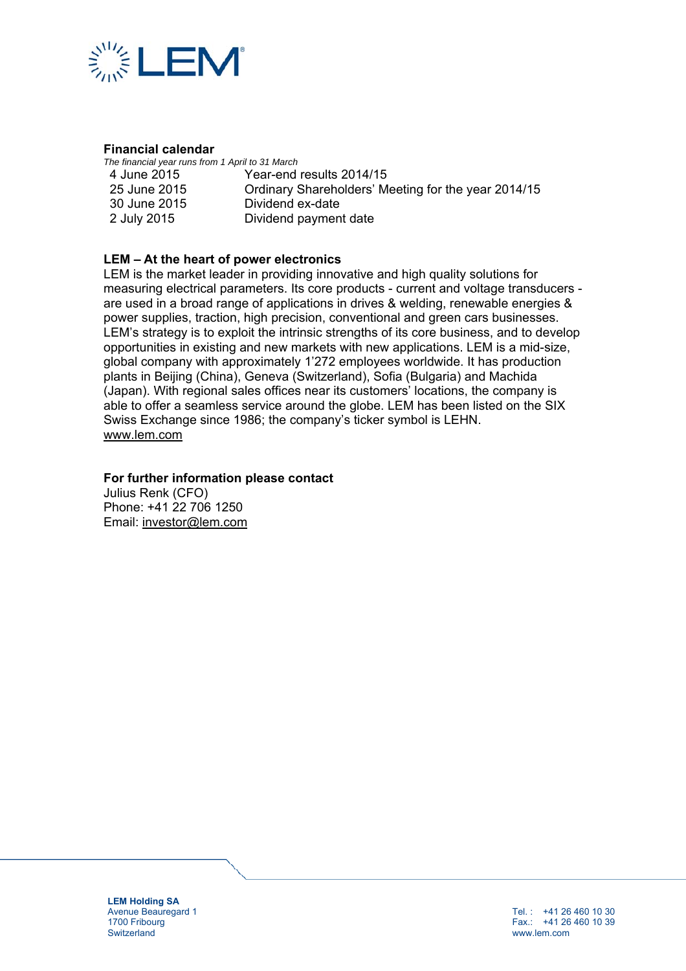

## **Financial calendar**

*The financial year runs from 1 April to 31 March*  4 June 2015

25 June 2015 30 June 2015 2 July 2015

Year-end results 2014/15 Ordinary Shareholders' Meeting for the year 2014/15 Dividend ex-date Dividend payment date

## **LEM – At the heart of power electronics**

LEM is the market leader in providing innovative and high quality solutions for measuring electrical parameters. Its core products - current and voltage transducers are used in a broad range of applications in drives & welding, renewable energies & power supplies, traction, high precision, conventional and green cars businesses. LEM's strategy is to exploit the intrinsic strengths of its core business, and to develop opportunities in existing and new markets with new applications. LEM is a mid-size, global company with approximately 1'272 employees worldwide. It has production plants in Beijing (China), Geneva (Switzerland), Sofia (Bulgaria) and Machida (Japan). With regional sales offices near its customers' locations, the company is able to offer a seamless service around the globe. LEM has been listed on the SIX Swiss Exchange since 1986; the company's ticker symbol is LEHN. www.lem.com

## **For further information please contact**

Julius Renk (CFO) Phone: +41 22 706 1250 Email: investor@lem.com

**LEM Holding SA**  Avenue Beauregard 1 1700 Fribourg **Switzerland** 

Tel. : +41 26 460 10 30 Fax.: +41 26 460 10 39 www.lem.com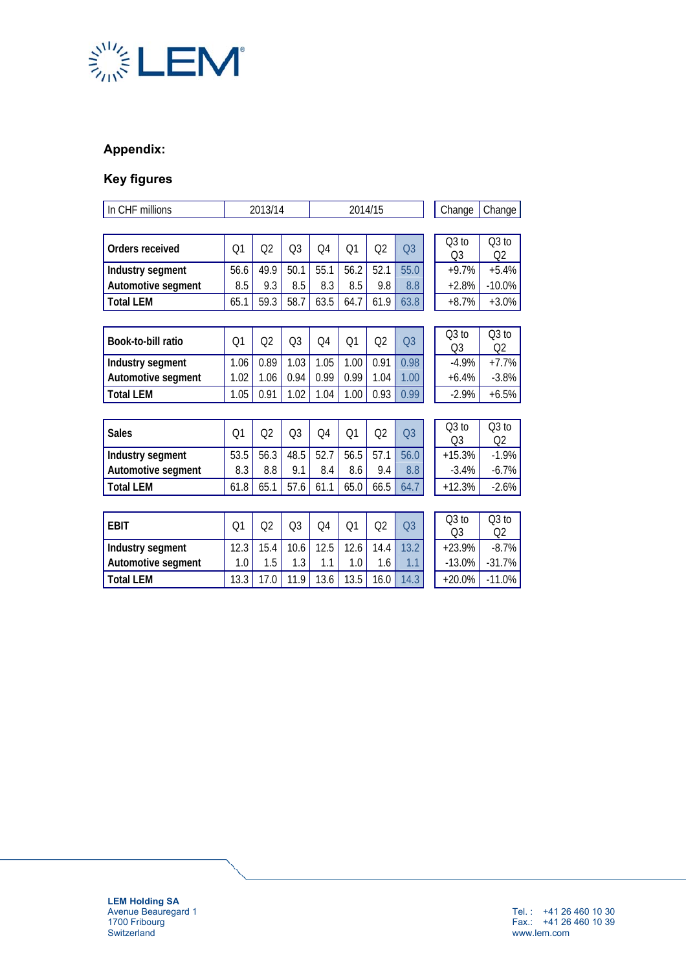

## **Appendix:**

# **Key figures**

| In CHF millions    | 2013/14        |                |                | 2014/15        |      |                |                |                           | Change<br>Change |               |  |
|--------------------|----------------|----------------|----------------|----------------|------|----------------|----------------|---------------------------|------------------|---------------|--|
|                    |                |                |                |                |      |                |                |                           |                  |               |  |
| Orders received    | O <sub>1</sub> | Q2             | Q3             | Q4             | Q1   | Q2             | Q <sub>3</sub> | $Q3$ to<br>O <sub>3</sub> |                  | $Q3$ to<br>Ο2 |  |
| Industry segment   | 56.6           | 49.9           | 50.1           | 55.1           | 56.2 | 52.1           | 55.0           | $+9.7%$                   |                  | $+5.4%$       |  |
| Automotive segment | 8.5            | 9.3            | 8.5            | 8.3            | 8.5  | 9.8            | 8.8            | $+2.8%$                   |                  | $-10.0%$      |  |
| <b>Total LEM</b>   | 65.1           | 59.3           | 58.7           | 63.5           | 64.7 | 61.9           | 63.8           | $+8.7%$                   |                  | $+3.0%$       |  |
|                    |                |                |                |                |      |                |                |                           |                  |               |  |
| Book-to-bill ratio | Q1             | Q2             | Q3             | Q4             | Q1   | Q2             | Q <sub>3</sub> | Q3 to<br>Q <sub>3</sub>   |                  | Q3 to<br>Q2   |  |
| Industry segment   | 1.06           | 0.89           | 1.03           | 1.05           | 1.00 | 0.91           | 0.98           | $-4.9%$                   |                  | $+7.7%$       |  |
| Automotive segment | 1.02           | 1.06           | 0.94           | 0.99           | 0.99 | 1.04           | 1.00           | $+6.4%$                   |                  | $-3.8%$       |  |
| <b>Total LEM</b>   | 1.05           | 0.91           | 1.02           | 1.04           | 1.00 | 0.93           | 0.99           | $-2.9%$                   |                  | $+6.5%$       |  |
|                    |                |                |                |                |      |                |                |                           |                  |               |  |
| <b>Sales</b>       | 01             | Q <sub>2</sub> | Q <sub>3</sub> | O <sub>4</sub> | Q1   | Q <sub>2</sub> | Q <sub>3</sub> | $Q3$ to<br>Q <sub>3</sub> |                  | Q3 to<br>Q2   |  |
| Industry segment   | 53.5           | 56.3           | 48.5           | 52.7           | 56.5 | 57.1           | 56.0           | $+15.3%$                  |                  | $-1.9%$       |  |
| Automotive segment | 8.3            | 8.8            | 9.1            | 8.4            | 8.6  | 9.4            | 8.8            | $-3.4%$                   |                  | $-6.7%$       |  |
| <b>Total LEM</b>   | 61.8           | 65.1           | 57.6           | 61.1           | 65.0 | 66.5           | 64.7           | $+12.3%$                  |                  | $-2.6%$       |  |
|                    |                |                |                |                |      |                |                |                           |                  |               |  |
| <b>FBIT</b>        | Q <sub>1</sub> | Q <sub>2</sub> | Q3             | Q4             | Q1   | Q2             | Q <sub>3</sub> | $Q3$ to<br>Q <sub>3</sub> |                  | $Q3$ to<br>Q2 |  |
| Industry segment   | 12.3           | 15.4           | 10.6           | 12.5           | 12.6 | 14.4           | 13.2           | $+23.9%$                  |                  | $-8.7%$       |  |
| Automotive segment | 1.0            | 1.5            | 1.3            | 1.1            | 1.0  | 1.6            | 1.1            | $-13.0%$                  |                  | $-31.7%$      |  |
| <b>Total LEM</b>   | 13.3           | 17.0           | 11.9           | 13.6           | 13.5 | 16.0           | 14.3           | $+20.0%$                  |                  | $-11.0%$      |  |